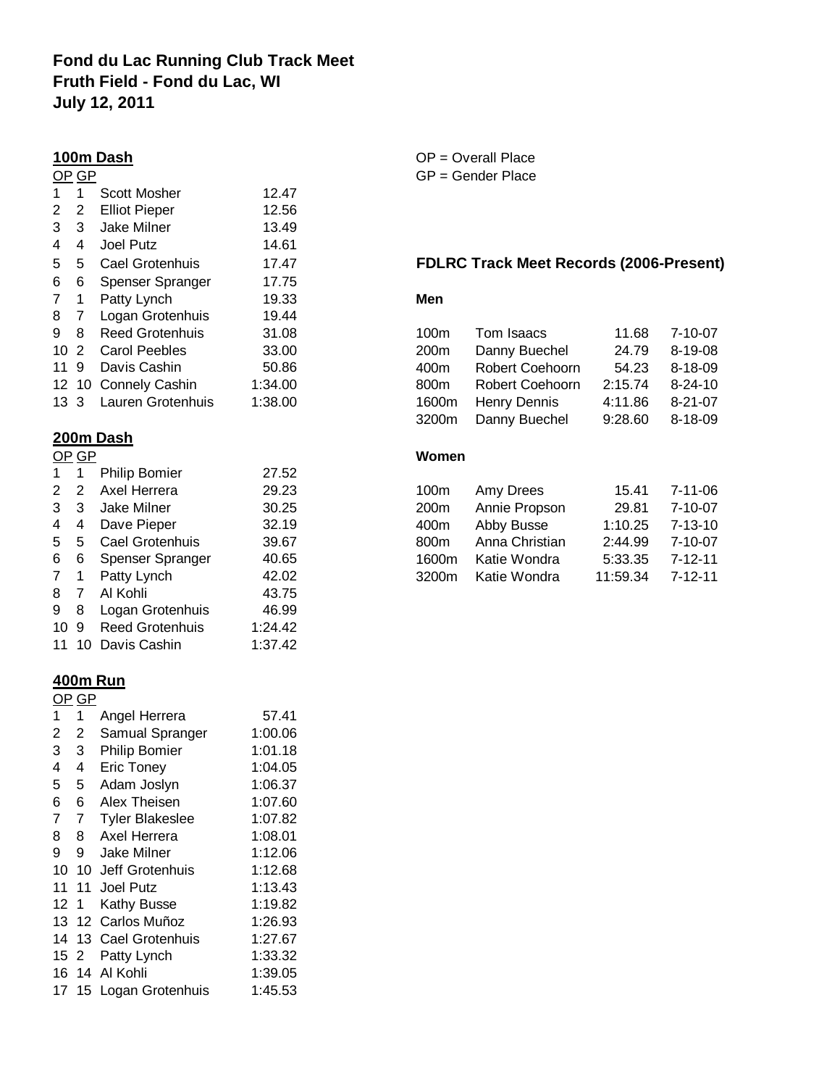# **Fond du Lac Running Club Track Meet Fruth Field - Fond du Lac, WI July 12, 2011**

## **100m Dash** O

|     | OP GP |                        |         | GP - |
|-----|-------|------------------------|---------|------|
| 1   | 1     | <b>Scott Mosher</b>    | 12.47   |      |
| 2   | 2     | <b>Elliot Pieper</b>   | 12.56   |      |
| 3   | 3     | Jake Milner            | 13.49   |      |
| 4   | 4     | Joel Putz              | 14.61   |      |
| 5   | 5     | Cael Grotenhuis        | 17.47   | FDL  |
| 6   | 6     | Spenser Spranger       | 17.75   |      |
| 7   | 1     | Patty Lynch            | 19.33   | Men  |
| 8   | 7     | Logan Grotenhuis       | 19.44   |      |
| 9   | 8     | <b>Reed Grotenhuis</b> | 31.08   | 100r |
| 10  | 2     | <b>Carol Peebles</b>   | 33.00   | 200r |
| 11  | 9     | Davis Cashin           | 50.86   | 400r |
|     |       | 12 10 Connely Cashin   | 1:34.00 | 800r |
| 133 |       | Lauren Grotenhuis      | 1:38.00 | 1600 |
|     |       |                        |         |      |

## **200m Dash**

|    | OP GP |                        |         |
|----|-------|------------------------|---------|
| 1  | 1     | <b>Philip Bomier</b>   | 27.52   |
| 2  | 2     | Axel Herrera           | 29.23   |
| 3  | 3     | <b>Jake Milner</b>     | 30.25   |
| 4  | 4     | Dave Pieper            | 32.19   |
| 5  | 5     | Cael Grotenhuis        | 39.67   |
| 6  | 6     | Spenser Spranger       | 40.65   |
| 7  | 1     | Patty Lynch            | 42.02   |
| 8  | 7     | Al Kohli               | 43.75   |
| 9  | 8     | Logan Grotenhuis       | 46.99   |
| 10 | 9     | <b>Reed Grotenhuis</b> | 1:24.42 |
| 11 | 10    | Davis Cashin           | 1:37.42 |

### **400m Run**

| GP  |     |                        |         |  |  |
|-----|-----|------------------------|---------|--|--|
| 1   | 1   | Angel Herrera          | 57.41   |  |  |
| 2   | 2   | Samual Spranger        | 1:00.06 |  |  |
| 3   | 3   | <b>Philip Bomier</b>   | 1:01.18 |  |  |
| 4   | 4   | <b>Eric Toney</b>      | 1:04.05 |  |  |
| 5   | 5   | Adam Joslyn            | 1:06.37 |  |  |
| 6   | 6   | Alex Theisen           | 1:07.60 |  |  |
| 7   | 7   | <b>Tyler Blakeslee</b> | 1:07.82 |  |  |
| 8   | 8   | Axel Herrera           | 1:08.01 |  |  |
| 9   | 9   | Jake Milner            | 1:12.06 |  |  |
| 10  | 10  | Jeff Grotenhuis        | 1:12.68 |  |  |
| 11  | 11  | Joel Putz              | 1:13.43 |  |  |
| 12  | -1  | <b>Kathy Busse</b>     | 1:19.82 |  |  |
| 13  | 12  | Carlos Muñoz           | 1:26.93 |  |  |
| 14  | 13  | Cael Grotenhuis        | 1:27.67 |  |  |
| 152 |     | Patty Lynch            | 1:33.32 |  |  |
| 16  | -14 | Al Kohli               | 1:39.05 |  |  |
| 17  | 15  | Logan Grotenhuis       | 1:45.53 |  |  |

| $OP = Overall Place$ |
|----------------------|
| $GP =$ Gender Place  |

## **FDLRC Track Meet Records (2006-Present)**

|  | 9 8 Reed Grotenhuis    | 31.08   | 100m             | Tom Isaacs          |         | 11.68 7-10-07 |
|--|------------------------|---------|------------------|---------------------|---------|---------------|
|  | 10 2 Carol Peebles     | 33.00   | 200 <sub>m</sub> | Danny Buechel       | 24.79   | 8-19-08       |
|  | 11 9 Davis Cashin      | 50.86   | 400m             | Robert Coehoorn     | 54.23   | 8-18-09       |
|  | 12 10 Connely Cashin   | 1:34.00 | 800m             | Robert Coehoorn     | 2:15.74 | 8-24-10       |
|  | 13 3 Lauren Grotenhuis | 1:38.00 |                  | 1600m Henry Dennis  | 4:11.86 | 8-21-07       |
|  |                        |         |                  | 3200m Danny Buechel | 9:28.60 | 8-18-09       |

# **Example 3** Women 2

|  | 2 2 Axel Herrera     | 29.23 | 100m             | Amy Drees          | 15.41    | 7-11-06 |
|--|----------------------|-------|------------------|--------------------|----------|---------|
|  | 3 3 Jake Milner      | 30.25 | 200 <sub>m</sub> | Annie Propson      | 29.81    | 7-10-07 |
|  | 4 4 Dave Pieper      | 32.19 | 400m             | Abby Busse         | 1:10.25  | 7-13-10 |
|  | 5 5 Cael Grotenhuis  | 39.67 | 800m             | Anna Christian     | 2:44.99  | 7-10-07 |
|  | 6 6 Spenser Spranger | 40.65 | 1600m            | Katie Wondra       | 5:33.35  | 7-12-11 |
|  | 7 1 Patty Lynch      | 42.02 |                  | 3200m Katie Wondra | 11:59.34 | 7-12-11 |
|  |                      |       |                  |                    |          |         |